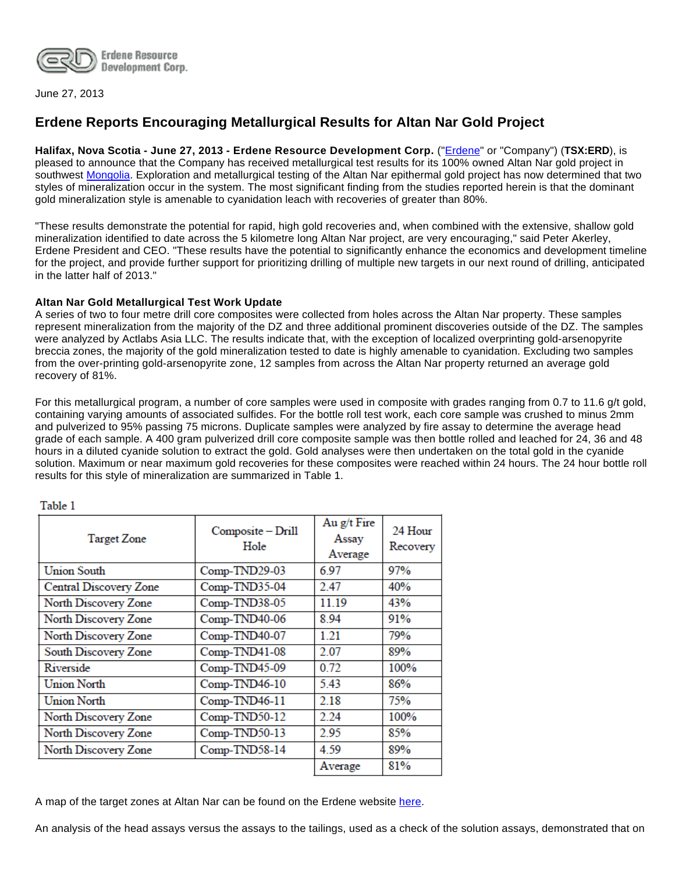

June 27, 2013

# **Erdene Reports Encouraging Metallurgical Results for Altan Nar Gold Project**

**Halifax, Nova Scotia - June 27, 2013 - Erdene Resource Development Corp.** ("[Erdene"](http://www.erdene.com/) or "Company") (**TSX:ERD**), is pleased to announce that the Company has received metallurgical test results for its 100% owned Altan Nar gold project in southwest [Mongolia.](http://www.erdene.com/) Exploration and metallurgical testing of the Altan Nar epithermal gold project has now determined that two styles of mineralization occur in the system. The most significant finding from the studies reported herein is that the dominant gold mineralization style is amenable to cyanidation leach with recoveries of greater than 80%.

"These results demonstrate the potential for rapid, high gold recoveries and, when combined with the extensive, shallow gold mineralization identified to date across the 5 kilometre long Altan Nar project, are very encouraging," said Peter Akerley, Erdene President and CEO. "These results have the potential to significantly enhance the economics and development timeline for the project, and provide further support for prioritizing drilling of multiple new targets in our next round of drilling, anticipated in the latter half of 2013."

## **Altan Nar Gold Metallurgical Test Work Update**

A series of two to four metre drill core composites were collected from holes across the Altan Nar property. These samples represent mineralization from the majority of the DZ and three additional prominent discoveries outside of the DZ. The samples were analyzed by Actlabs Asia LLC. The results indicate that, with the exception of localized overprinting gold-arsenopyrite breccia zones, the majority of the gold mineralization tested to date is highly amenable to cyanidation. Excluding two samples from the over-printing gold-arsenopyrite zone, 12 samples from across the Altan Nar property returned an average gold recovery of 81%.

For this metallurgical program, a number of core samples were used in composite with grades ranging from 0.7 to 11.6 g/t gold, containing varying amounts of associated sulfides. For the bottle roll test work, each core sample was crushed to minus 2mm and pulverized to 95% passing 75 microns. Duplicate samples were analyzed by fire assay to determine the average head grade of each sample. A 400 gram pulverized drill core composite sample was then bottle rolled and leached for 24, 36 and 48 hours in a diluted cyanide solution to extract the gold. Gold analyses were then undertaken on the total gold in the cyanide solution. Maximum or near maximum gold recoveries for these composites were reached within 24 hours. The 24 hour bottle roll results for this style of mineralization are summarized in Table 1.

| Target Zone            | Composite – Drill<br>Hole | Au g/t Fire<br>Assay<br>Average | 24 Hour<br>Recovery |
|------------------------|---------------------------|---------------------------------|---------------------|
| <b>Union South</b>     | Comp-TND29-03             | 697                             | 97%                 |
| Central Discovery Zone | Comp-TND35-04             | 2.47                            | 40%                 |
| North Discovery Zone   | Comp-TND38-05             | 11.19                           | 43%                 |
| North Discovery Zone   | Comp-TND40-06             | 8.94                            | 91%                 |
| North Discovery Zone   | Comp-TND40-07             | 1.21                            | 79%                 |
| South Discovery Zone   | Comp-TND41-08             | 2.07                            | 89%                 |
| Riverside              | Comp-TND45-09             | 0.72                            | 100%                |
| Union North            | Comp-TND46-10             | 5.43                            | 86%                 |
| Union North            | Comp-TND46-11             | 2.18                            | 75%                 |
| North Discovery Zone   | Comp-TND50-12             | 2.24                            | 100%                |
| North Discovery Zone   | Comp-TND50-13             | 2.95                            | 85%                 |
| North Discovery Zone   | Comp-TND58-14             | 4.59                            | 89%                 |
|                        |                           | Average                         | 81%                 |

Table 1

A map of the target zones at Altan Nar can be found on the Erdene website [here](http://www.erdene.com/projects40/images/1_Altan-Nar-Targets_I.jpg).

An analysis of the head assays versus the assays to the tailings, used as a check of the solution assays, demonstrated that on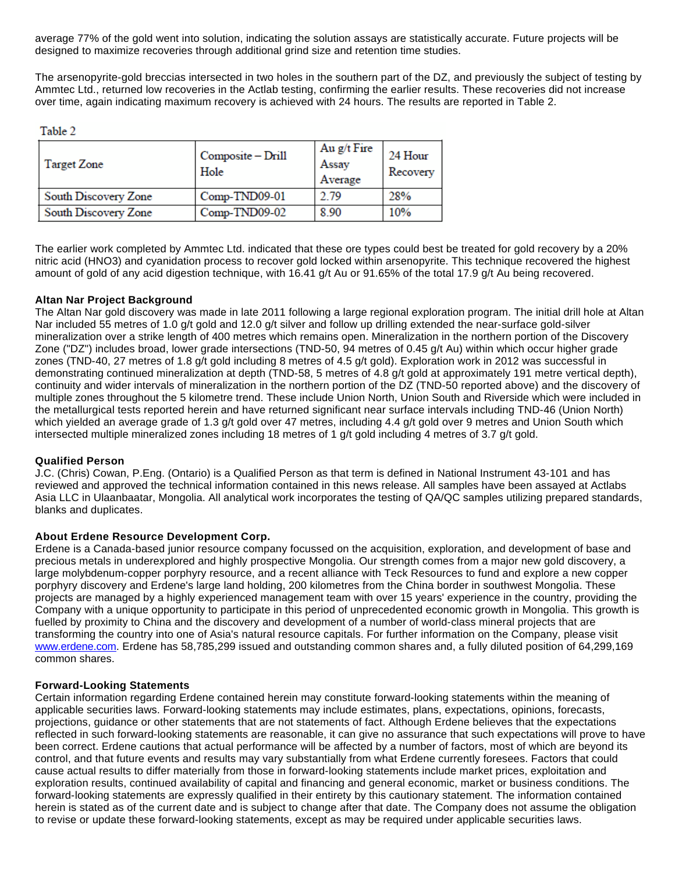average 77% of the gold went into solution, indicating the solution assays are statistically accurate. Future projects will be designed to maximize recoveries through additional grind size and retention time studies.

The arsenopyrite-gold breccias intersected in two holes in the southern part of the DZ, and previously the subject of testing by Ammtec Ltd., returned low recoveries in the Actlab testing, confirming the earlier results. These recoveries did not increase over time, again indicating maximum recovery is achieved with 24 hours. The results are reported in Table 2.

#### Table 2

| <b>Target Zone</b>   | Composite – Drill<br>Hole | Au $g/t$ Fire<br>Assay<br>Average | 24 Hour<br>Recovery |
|----------------------|---------------------------|-----------------------------------|---------------------|
| South Discovery Zone | Comp-TND09-01             | 2.79                              | 28%                 |
| South Discovery Zone | Comp-TND09-02             | 890                               | 10%                 |

The earlier work completed by Ammtec Ltd. indicated that these ore types could best be treated for gold recovery by a 20% nitric acid (HNO3) and cyanidation process to recover gold locked within arsenopyrite. This technique recovered the highest amount of gold of any acid digestion technique, with 16.41 g/t Au or 91.65% of the total 17.9 g/t Au being recovered.

## **Altan Nar Project Background**

The Altan Nar gold discovery was made in late 2011 following a large regional exploration program. The initial drill hole at Altan Nar included 55 metres of 1.0 g/t gold and 12.0 g/t silver and follow up drilling extended the near-surface gold-silver mineralization over a strike length of 400 metres which remains open. Mineralization in the northern portion of the Discovery Zone ("DZ") includes broad, lower grade intersections (TND-50, 94 metres of 0.45 g/t Au) within which occur higher grade zones (TND-40, 27 metres of 1.8 g/t gold including 8 metres of 4.5 g/t gold). Exploration work in 2012 was successful in demonstrating continued mineralization at depth (TND-58, 5 metres of 4.8 g/t gold at approximately 191 metre vertical depth), continuity and wider intervals of mineralization in the northern portion of the DZ (TND-50 reported above) and the discovery of multiple zones throughout the 5 kilometre trend. These include Union North, Union South and Riverside which were included in the metallurgical tests reported herein and have returned significant near surface intervals including TND-46 (Union North) which yielded an average grade of 1.3 g/t gold over 47 metres, including 4.4 g/t gold over 9 metres and Union South which intersected multiple mineralized zones including 18 metres of 1 g/t gold including 4 metres of 3.7 g/t gold.

#### **Qualified Person**

J.C. (Chris) Cowan, P.Eng. (Ontario) is a Qualified Person as that term is defined in National Instrument 43-101 and has reviewed and approved the technical information contained in this news release. All samples have been assayed at Actlabs Asia LLC in Ulaanbaatar, Mongolia. All analytical work incorporates the testing of QA/QC samples utilizing prepared standards, blanks and duplicates.

# **About Erdene Resource Development Corp.**

Erdene is a Canada-based junior resource company focussed on the acquisition, exploration, and development of base and precious metals in underexplored and highly prospective Mongolia. Our strength comes from a major new gold discovery, a large molybdenum-copper porphyry resource, and a recent alliance with Teck Resources to fund and explore a new copper porphyry discovery and Erdene's large land holding, 200 kilometres from the China border in southwest Mongolia. These projects are managed by a highly experienced management team with over 15 years' experience in the country, providing the Company with a unique opportunity to participate in this period of unprecedented economic growth in Mongolia. This growth is fuelled by proximity to China and the discovery and development of a number of world-class mineral projects that are transforming the country into one of Asia's natural resource capitals. For further information on the Company, please visit [www.erdene.com](http://www.erdene.com/). Erdene has 58,785,299 issued and outstanding common shares and, a fully diluted position of 64,299,169 common shares.

#### **Forward-Looking Statements**

Certain information regarding Erdene contained herein may constitute forward-looking statements within the meaning of applicable securities laws. Forward-looking statements may include estimates, plans, expectations, opinions, forecasts, projections, guidance or other statements that are not statements of fact. Although Erdene believes that the expectations reflected in such forward-looking statements are reasonable, it can give no assurance that such expectations will prove to have been correct. Erdene cautions that actual performance will be affected by a number of factors, most of which are beyond its control, and that future events and results may vary substantially from what Erdene currently foresees. Factors that could cause actual results to differ materially from those in forward-looking statements include market prices, exploitation and exploration results, continued availability of capital and financing and general economic, market or business conditions. The forward-looking statements are expressly qualified in their entirety by this cautionary statement. The information contained herein is stated as of the current date and is subject to change after that date. The Company does not assume the obligation to revise or update these forward-looking statements, except as may be required under applicable securities laws.